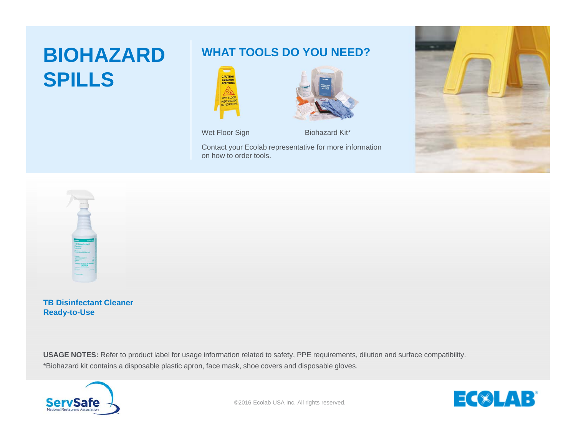## **BIOHAZARD SPILLS**

## **WHAT TOOLS DO YOU NEED?**





Wet Floor Sign Biohazard Kit\*

Contact your Ecolab representative for more information on how to order tools.





**TB Disinfectant Cleaner Ready-to-Use**

\*Biohazard kit contains a disposable plastic apron, face mask, shoe covers and disposable gloves. **USAGE NOTES:** Refer to product label for usage information related to safety, PPE requirements, dilution and surface compatibility.



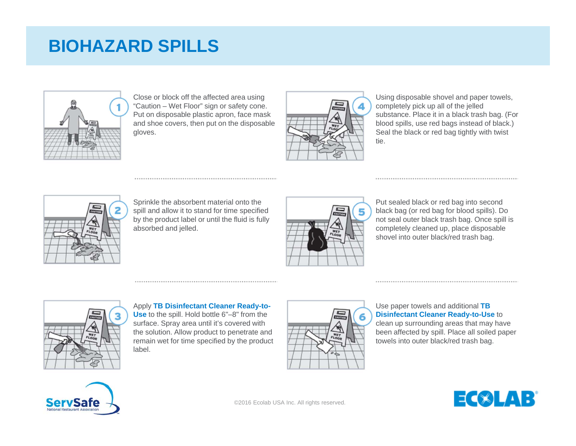## **BIOHAZARD SPILLS**



Close or block off the affected area using "Caution – Wet Floor" sign or safety cone. Put on disposable plastic apron, face mask and shoe covers, then put on the disposable gloves.



Using disposable shovel and paper towels, completely pick up all of the jelled substance. Place it in a black trash bag. (For blood spills, use red bags instead of black.) Seal the black or red bag tightly with twist tie.



Sprinkle the absorbent material onto the spill and allow it to stand for time specified by the product label or until the fluid is fully absorbed and jelled.



Put sealed black or red bag into second black bag (or red bag for blood spills). Do not seal outer black trash bag. Once spill is completely cleaned up, place disposable shovel into outer black/red trash bag.



Apply **TB Disinfectant Cleaner Ready-to-Use** to the spill. Hold bottle 6"–8" from the surface. Spray area until it's covered with the solution. Allow product to penetrate and remain wet for time specified by the product label.



Use paper towels and additional **TB Disinfectant Cleaner Ready-to-Use** to clean up surrounding areas that may have been affected by spill. Place all soiled paper towels into outer black/red trash bag.





©2016 Ecolab USA Inc. All rights reserved.